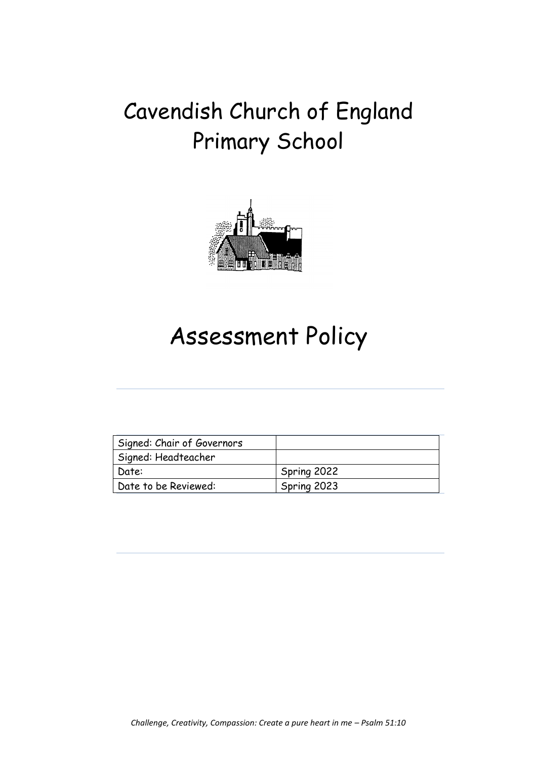# Cavendish Church of England Primary School



# Assessment Policy

| Signed: Chair of Governors |             |
|----------------------------|-------------|
| Signed: Headteacher        |             |
| Date:                      | Spring 2022 |
| Date to be Reviewed:       | Spring 2023 |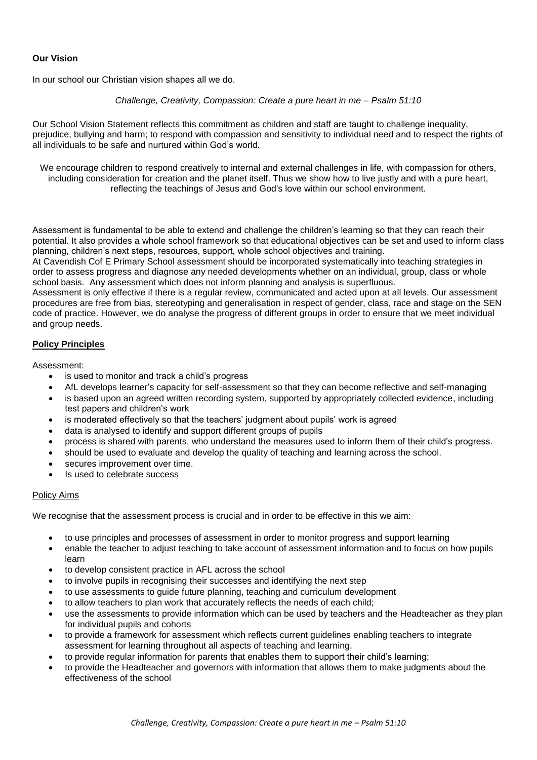# **Our Vision**

In our school our Christian vision shapes all we do.

#### *Challenge, Creativity, Compassion: Create a pure heart in me – Psalm 51:10*

Our School Vision Statement reflects this commitment as children and staff are taught to challenge inequality, prejudice, bullying and harm; to respond with compassion and sensitivity to individual need and to respect the rights of all individuals to be safe and nurtured within God's world.

We encourage children to respond creatively to internal and external challenges in life, with compassion for others, including consideration for creation and the planet itself. Thus we show how to live justly and with a pure heart, reflecting the teachings of Jesus and God's love within our school environment.

Assessment is fundamental to be able to extend and challenge the children's learning so that they can reach their potential. It also provides a whole school framework so that educational objectives can be set and used to inform class planning, children's next steps, resources, support, whole school objectives and training.

At Cavendish Cof E Primary School assessment should be incorporated systematically into teaching strategies in order to assess progress and diagnose any needed developments whether on an individual, group, class or whole school basis. Any assessment which does not inform planning and analysis is superfluous.

Assessment is only effective if there is a regular review, communicated and acted upon at all levels. Our assessment procedures are free from bias, stereotyping and generalisation in respect of gender, class, race and stage on the SEN code of practice. However, we do analyse the progress of different groups in order to ensure that we meet individual and group needs.

# **Policy Principles**

Assessment:

- is used to monitor and track a child's progress
- AfL develops learner's capacity for self-assessment so that they can become reflective and self-managing
- is based upon an agreed written recording system, supported by appropriately collected evidence, including test papers and children's work
- is moderated effectively so that the teachers' judgment about pupils' work is agreed
- data is analysed to identify and support different groups of pupils
- process is shared with parents, who understand the measures used to inform them of their child's progress.
- should be used to evaluate and develop the quality of teaching and learning across the school.
- secures improvement over time.
- Is used to celebrate success

### Policy Aims

We recognise that the assessment process is crucial and in order to be effective in this we aim:

- to use principles and processes of assessment in order to monitor progress and support learning
- enable the teacher to adjust teaching to take account of assessment information and to focus on how pupils learn
- to develop consistent practice in AFL across the school
- to involve pupils in recognising their successes and identifying the next step
- to use assessments to guide future planning, teaching and curriculum development
- to allow teachers to plan work that accurately reflects the needs of each child;
- use the assessments to provide information which can be used by teachers and the Headteacher as they plan for individual pupils and cohorts
- to provide a framework for assessment which reflects current guidelines enabling teachers to integrate assessment for learning throughout all aspects of teaching and learning.
- to provide regular information for parents that enables them to support their child's learning;
- to provide the Headteacher and governors with information that allows them to make judgments about the effectiveness of the school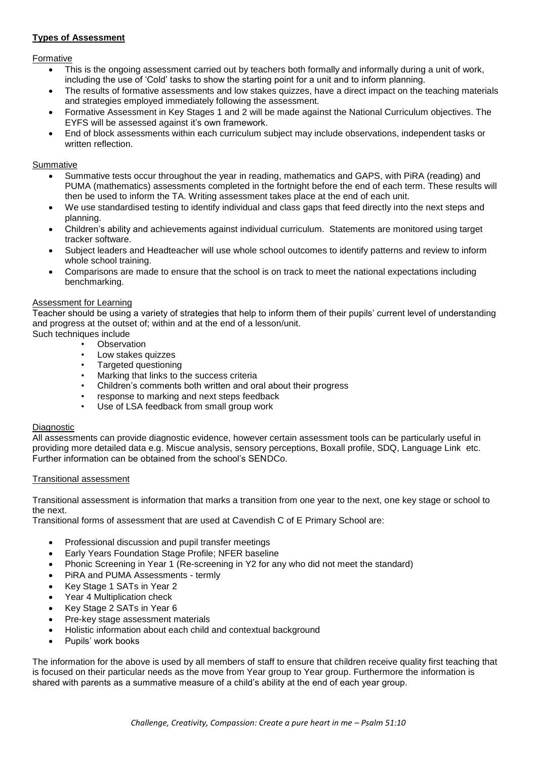# **Types of Assessment**

#### Formative

- This is the ongoing assessment carried out by teachers both formally and informally during a unit of work, including the use of 'Cold' tasks to show the starting point for a unit and to inform planning.
- The results of formative assessments and low stakes quizzes, have a direct impact on the teaching materials and strategies employed immediately following the assessment.
- Formative Assessment in Key Stages 1 and 2 will be made against the National Curriculum objectives. The EYFS will be assessed against it's own framework.
- End of block assessments within each curriculum subject may include observations, independent tasks or written reflection.

### Summative

- Summative tests occur throughout the year in reading, mathematics and GAPS, with PiRA (reading) and PUMA (mathematics) assessments completed in the fortnight before the end of each term. These results will then be used to inform the TA. Writing assessment takes place at the end of each unit.
- We use standardised testing to identify individual and class gaps that feed directly into the next steps and planning.
- Children's ability and achievements against individual curriculum. Statements are monitored using target tracker software.
- Subject leaders and Headteacher will use whole school outcomes to identify patterns and review to inform whole school training.
- Comparisons are made to ensure that the school is on track to meet the national expectations including benchmarking.

# Assessment for Learning

Teacher should be using a variety of strategies that help to inform them of their pupils' current level of understanding and progress at the outset of; within and at the end of a lesson/unit. Such techniques include

- **Observation**
- Low stakes quizzes
- Targeted questioning
- Marking that links to the success criteria
- Children's comments both written and oral about their progress
- response to marking and next steps feedback
- Use of LSA feedback from small group work

### Diagnostic

All assessments can provide diagnostic evidence, however certain assessment tools can be particularly useful in providing more detailed data e.g. Miscue analysis, sensory perceptions, Boxall profile, SDQ, Language Link etc. Further information can be obtained from the school's SENDCo.

### Transitional assessment

Transitional assessment is information that marks a transition from one year to the next, one key stage or school to the next.

Transitional forms of assessment that are used at Cavendish C of E Primary School are:

- Professional discussion and pupil transfer meetings
- Early Years Foundation Stage Profile; NFER baseline
- Phonic Screening in Year 1 (Re-screening in Y2 for any who did not meet the standard)
- PiRA and PUMA Assessments termly
- Key Stage 1 SATs in Year 2
- Year 4 Multiplication check
- Key Stage 2 SATs in Year 6
- Pre-key stage assessment materials
- Holistic information about each child and contextual background
- Pupils' work books

The information for the above is used by all members of staff to ensure that children receive quality first teaching that is focused on their particular needs as the move from Year group to Year group. Furthermore the information is shared with parents as a summative measure of a child's ability at the end of each year group.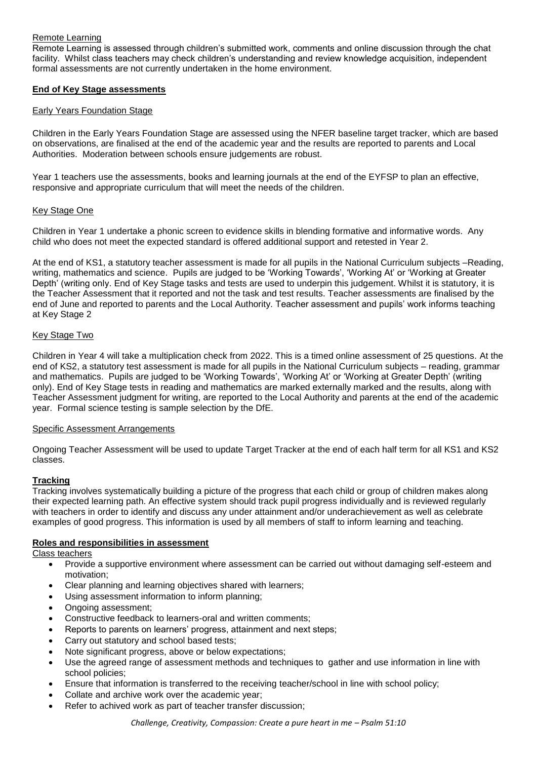# Remote Learning

Remote Learning is assessed through children's submitted work, comments and online discussion through the chat facility. Whilst class teachers may check children's understanding and review knowledge acquisition, independent formal assessments are not currently undertaken in the home environment.

### **End of Key Stage assessments**

#### Early Years Foundation Stage

Children in the Early Years Foundation Stage are assessed using the NFER baseline target tracker, which are based on observations, are finalised at the end of the academic year and the results are reported to parents and Local Authorities. Moderation between schools ensure judgements are robust.

Year 1 teachers use the assessments, books and learning journals at the end of the EYFSP to plan an effective, responsive and appropriate curriculum that will meet the needs of the children.

#### Key Stage One

Children in Year 1 undertake a phonic screen to evidence skills in blending formative and informative words. Any child who does not meet the expected standard is offered additional support and retested in Year 2.

At the end of KS1, a statutory teacher assessment is made for all pupils in the National Curriculum subjects –Reading, writing, mathematics and science. Pupils are judged to be 'Working Towards', 'Working At' or 'Working at Greater Depth' (writing only. End of Key Stage tasks and tests are used to underpin this judgement. Whilst it is statutory, it is the Teacher Assessment that it reported and not the task and test results. Teacher assessments are finalised by the end of June and reported to parents and the Local Authority. Teacher assessment and pupils' work informs teaching at Key Stage 2

### Key Stage Two

Children in Year 4 will take a multiplication check from 2022. This is a timed online assessment of 25 questions. At the end of KS2, a statutory test assessment is made for all pupils in the National Curriculum subjects – reading, grammar and mathematics. Pupils are judged to be 'Working Towards', 'Working At' or 'Working at Greater Depth' (writing only). End of Key Stage tests in reading and mathematics are marked externally marked and the results, along with Teacher Assessment judgment for writing, are reported to the Local Authority and parents at the end of the academic year. Formal science testing is sample selection by the DfE.

#### Specific Assessment Arrangements

Ongoing Teacher Assessment will be used to update Target Tracker at the end of each half term for all KS1 and KS2 classes.

### **Tracking**

Tracking involves systematically building a picture of the progress that each child or group of children makes along their expected learning path. An effective system should track pupil progress individually and is reviewed regularly with teachers in order to identify and discuss any under attainment and/or underachievement as well as celebrate examples of good progress. This information is used by all members of staff to inform learning and teaching.

### **Roles and responsibilities in assessment**

Class teachers

- Provide a supportive environment where assessment can be carried out without damaging self-esteem and motivation;
- Clear planning and learning objectives shared with learners;
- Using assessment information to inform planning;
- Ongoing assessment;
- Constructive feedback to learners-oral and written comments;
- Reports to parents on learners' progress, attainment and next steps;
- Carry out statutory and school based tests;
- Note significant progress, above or below expectations;
- Use the agreed range of assessment methods and techniques to gather and use information in line with school policies;
- Ensure that information is transferred to the receiving teacher/school in line with school policy;
- Collate and archive work over the academic year;
- Refer to achived work as part of teacher transfer discussion;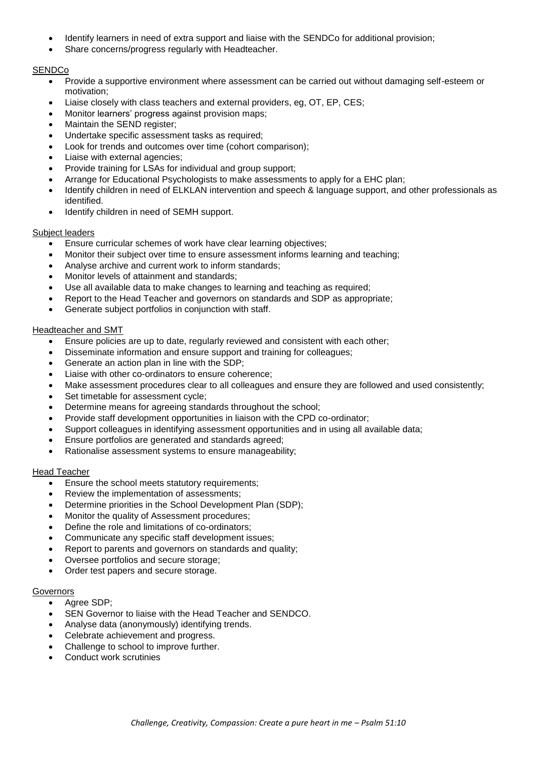- Identify learners in need of extra support and liaise with the SENDCo for additional provision;
- Share concerns/progress regularly with Headteacher.

# **SENDCo**

- Provide a supportive environment where assessment can be carried out without damaging self-esteem or motivation;
- Liaise closely with class teachers and external providers, eg, OT, EP, CES;
- Monitor learners' progress against provision maps;
- Maintain the SEND register:
- Undertake specific assessment tasks as required;
- Look for trends and outcomes over time (cohort comparison);
- Liaise with external agencies;
- Provide training for LSAs for individual and group support;
- Arrange for Educational Psychologists to make assessments to apply for a EHC plan;
- Identify children in need of ELKLAN intervention and speech & language support, and other professionals as identified.
- Identify children in need of SEMH support.

#### Subject leaders

- Ensure curricular schemes of work have clear learning objectives;
- Monitor their subject over time to ensure assessment informs learning and teaching;
- Analyse archive and current work to inform standards;
- Monitor levels of attainment and standards;
- Use all available data to make changes to learning and teaching as required;
- Report to the Head Teacher and governors on standards and SDP as appropriate;
- Generate subject portfolios in conjunction with staff.

#### Headteacher and SMT

- Ensure policies are up to date, regularly reviewed and consistent with each other;
- Disseminate information and ensure support and training for colleagues;
- Generate an action plan in line with the SDP;
- Liaise with other co-ordinators to ensure coherence;
- Make assessment procedures clear to all colleagues and ensure they are followed and used consistently;
- Set timetable for assessment cycle;
- Determine means for agreeing standards throughout the school;
- Provide staff development opportunities in liaison with the CPD co-ordinator;
- Support colleagues in identifying assessment opportunities and in using all available data;
- Ensure portfolios are generated and standards agreed;
- Rationalise assessment systems to ensure manageability;

#### Head Teacher

- **Ensure the school meets statutory requirements;**
- Review the implementation of assessments;
- Determine priorities in the School Development Plan (SDP);
- Monitor the quality of Assessment procedures;
- Define the role and limitations of co-ordinators;
- Communicate any specific staff development issues;
- Report to parents and governors on standards and quality;
- Oversee portfolios and secure storage;
- Order test papers and secure storage.

#### Governors

- Agree SDP:
- SEN Governor to liaise with the Head Teacher and SENDCO.
- Analyse data (anonymously) identifying trends.
- Celebrate achievement and progress.
- Challenge to school to improve further.
- Conduct work scrutinies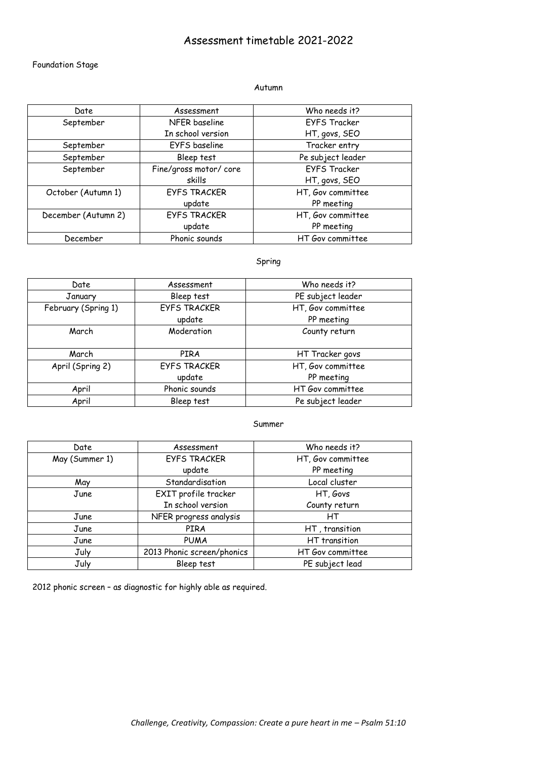# Assessment timetable 2021-2022

# Foundation Stage

#### Autumn

| Date                | Assessment             | Who needs it?       |
|---------------------|------------------------|---------------------|
| September           | NFER baseline          | <b>EYFS Tracker</b> |
|                     | In school version      | HT, govs, SEO       |
| September           | EYFS baseline          | Tracker entry       |
| September           | Bleep test             | Pe subject leader   |
| September           | Fine/gross motor/ core | <b>EYFS Tracker</b> |
|                     | skills                 | HT, govs, SEO       |
| October (Autumn 1)  | <b>EYFS TRACKER</b>    | HT, Gov committee   |
|                     | update                 | PP meeting          |
| December (Autumn 2) | <b>EYFS TRACKER</b>    | HT, Gov committee   |
|                     | update                 | PP meeting          |
| December            | Phonic sounds          | HT Gov committee    |

# Spring

| Date                | Assessment          | Who needs it?     |
|---------------------|---------------------|-------------------|
| January             | Bleep test          | PE subject leader |
| February (Spring 1) | <b>EYFS TRACKER</b> | HT, Gov committee |
|                     | update              | PP meeting        |
| March               | Moderation          | County return     |
|                     |                     |                   |
| March               | PIRA                | HT Tracker govs   |
| April (Spring 2)    | <b>EYFS TRACKER</b> | HT, Gov committee |
|                     | update              | PP meeting        |
| April               | Phonic sounds       | HT Gov committee  |
| April               | Bleep test          | Pe subject leader |

### Summer

| Date           | Assessment                 | Who needs it?     |
|----------------|----------------------------|-------------------|
| May (Summer 1) | <b>EYFS TRACKER</b>        | HT, Gov committee |
|                | update                     | PP meeting        |
| May            | Standardisation            | Local cluster     |
| June           | EXIT profile tracker       | HT, Govs          |
|                | In school version          | County return     |
| June           | NFER progress analysis     | HТ                |
| June           | <b>PIRA</b>                | HT, transition    |
| June           | <b>PUMA</b>                | HT transition     |
| July           | 2013 Phonic screen/phonics | HT Gov committee  |
| July           | Bleep test                 | PE subject lead   |

2012 phonic screen – as diagnostic for highly able as required.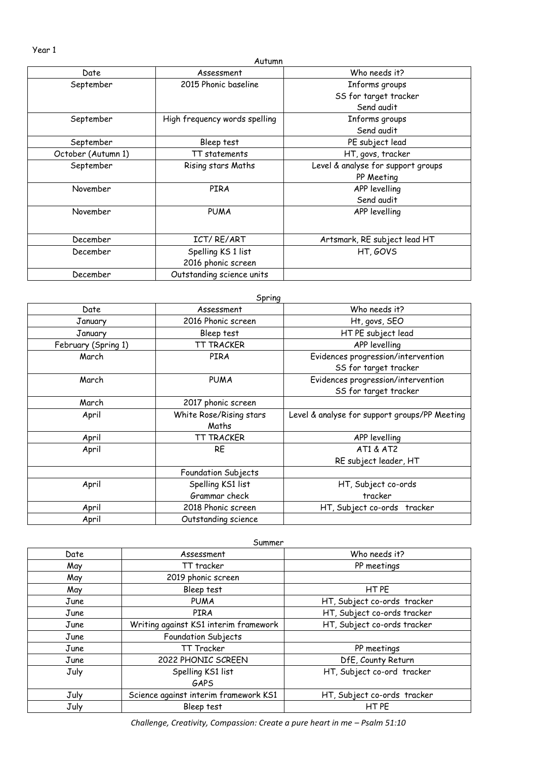Year 1

|                    | Autumn                        |                                    |
|--------------------|-------------------------------|------------------------------------|
| Date               | Assessment                    | Who needs it?                      |
| September          | 2015 Phonic baseline          | Informs groups                     |
|                    |                               | SS for target tracker              |
|                    |                               | Send audit                         |
| September          | High frequency words spelling | Informs groups                     |
|                    |                               | Send audit                         |
| September          | Bleep test                    | PE subject lead                    |
| October (Autumn 1) | TT statements                 | HT, govs, tracker                  |
| September          | Rising stars Maths            | Level & analyse for support groups |
|                    |                               | PP Meeting                         |
| November           | <b>PIRA</b>                   | APP levelling                      |
|                    |                               | Send audit                         |
| November           | <b>PUMA</b>                   | APP levelling                      |
| December           | ICT/RE/ART                    | Artsmark, RE subject lead HT       |
| December           | Spelling KS 1 list            | HT, GOVS                           |
|                    | 2016 phonic screen            |                                    |
| December           | Outstanding science units     |                                    |

|                     | Spring                  |                                               |
|---------------------|-------------------------|-----------------------------------------------|
| Date                | Assessment              | Who needs it?                                 |
| January             | 2016 Phonic screen      | Ht, govs, SEO                                 |
| January             | Bleep test              | HT PE subject lead                            |
| February (Spring 1) | TT TRACKER              | APP levelling                                 |
| March               | PIRA                    | Evidences progression/intervention            |
|                     |                         | SS for target tracker                         |
| March               | <b>PUMA</b>             | Evidences progression/intervention            |
|                     |                         | SS for target tracker                         |
| March               | 2017 phonic screen      |                                               |
| April               | White Rose/Rising stars | Level & analyse for support groups/PP Meeting |
|                     | Maths                   |                                               |
| April               | TT TRACKER              | APP levelling                                 |
| April               | <b>RE</b>               | AT1 & AT2                                     |
|                     |                         | RE subject leader, HT                         |
|                     | Foundation Subjects     |                                               |
| April               | Spelling KS1 list       | HT, Subject co-ords                           |
|                     | Grammar check           | tracker                                       |
| April               | 2018 Phonic screen      | HT, Subject co-ords tracker                   |
| April               | Outstanding science     |                                               |

| Summer |                                       |                             |
|--------|---------------------------------------|-----------------------------|
| Date   | Assessment                            | Who needs it?               |
| May    | TT tracker                            | PP meetings                 |
| May    | 2019 phonic screen                    |                             |
| May    | Bleep test                            | HT PE                       |
| June   | <b>PUMA</b>                           | HT, Subject co-ords tracker |
| June   | <b>PIRA</b>                           | HT, Subject co-ords tracker |
| June   | Writing against KS1 interim framework | HT, Subject co-ords tracker |
| June   | Foundation Subjects                   |                             |
| June   | TT Tracker                            | PP meetings                 |
| June   | 2022 PHONIC SCREEN                    | DfE, County Return          |
| July   | Spelling KS1 list                     | HT, Subject co-ord tracker  |
|        | GAPS                                  |                             |
| July   | Science against interim framework KS1 | HT, Subject co-ords tracker |
| July   | Bleep test                            | HT PE                       |

*Challenge, Creativity, Compassion: Create a pure heart in me - Psalm 51:10*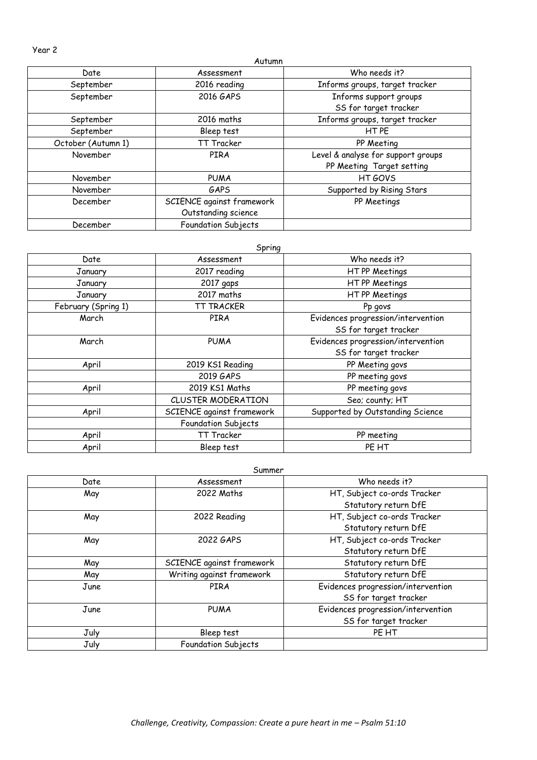Year 2

|                    | Autumn                    |                                    |
|--------------------|---------------------------|------------------------------------|
| Date               | Assessment                | Who needs it?                      |
| September          | 2016 reading              | Informs groups, target tracker     |
| September          | 2016 GAPS                 | Informs support groups             |
|                    |                           | SS for target tracker              |
| September          | 2016 maths                | Informs groups, target tracker     |
| September          | Bleep test                | HT PE                              |
| October (Autumn 1) | TT Tracker                | PP Meeting                         |
| November           | PIRA                      | Level & analyse for support groups |
|                    |                           | PP Meeting Target setting          |
| November           | <b>PUMA</b>               | HT GOVS                            |
| November           | GAPS                      | Supported by Rising Stars          |
| December           | SCIENCE against framework | PP Meetings                        |
|                    | Outstanding science       |                                    |
| December           | Foundation Subjects       |                                    |

#### Spring

| Date                | Assessment                | Who needs it?                      |
|---------------------|---------------------------|------------------------------------|
| January             | 2017 reading              | HT PP Meetings                     |
| January             | 2017 gaps                 | HT PP Meetings                     |
| January             | 2017 maths                | HT PP Meetings                     |
| February (Spring 1) | TT TRACKER                | Pp govs                            |
| March               | PIRA                      | Evidences progression/intervention |
|                     |                           | SS for target tracker              |
| March               | <b>PUMA</b>               | Evidences progression/intervention |
|                     |                           | SS for target tracker              |
| April               | 2019 KS1 Reading          | PP Meeting govs                    |
|                     | 2019 GAPS                 | PP meeting govs                    |
| April               | 2019 KS1 Maths            | PP meeting govs                    |
|                     | <b>CLUSTER MODERATION</b> | Seo; county; HT                    |
| April               | SCIENCE against framework | Supported by Outstanding Science   |
|                     | Foundation Subjects       |                                    |
| April               | <b>TT Tracker</b>         | PP meeting                         |
| April               | Bleep test                | PE HT                              |

Summer

| Date | Assessment                | Who needs it?                      |
|------|---------------------------|------------------------------------|
| May  | 2022 Maths                | HT, Subject co-ords Tracker        |
|      |                           | Statutory return DfE               |
| May  | 2022 Reading              | HT, Subject co-ords Tracker        |
|      |                           | Statutory return DfE               |
| May  | 2022 GAPS                 | HT, Subject co-ords Tracker        |
|      |                           | Statutory return DfE               |
| May  | SCIENCE against framework | Statutory return DfE               |
| May  | Writing against framework | Statutory return DfE               |
| June | PIRA                      | Evidences progression/intervention |
|      |                           | SS for target tracker              |
| June | <b>PUMA</b>               | Evidences progression/intervention |
|      |                           | SS for target tracker              |
| July | Bleep test                | PE HT                              |
| July | Foundation Subjects       |                                    |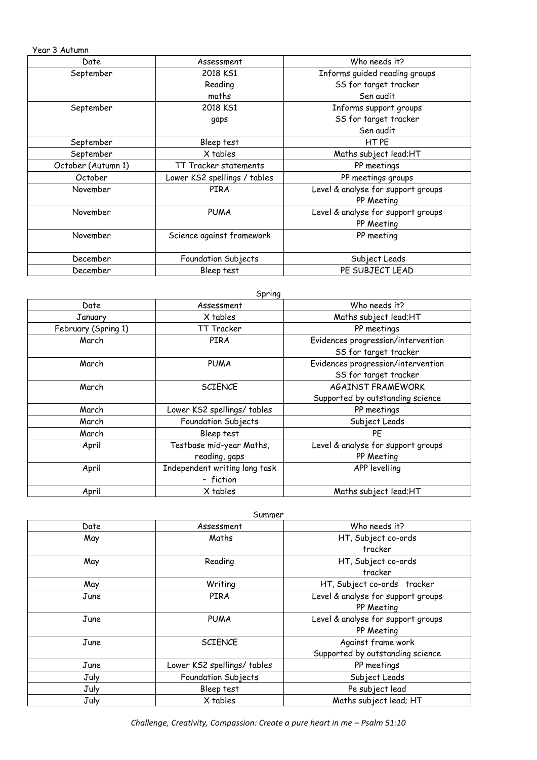Year 3 Autumn

| Date               | Assessment                   | Who needs it?                      |
|--------------------|------------------------------|------------------------------------|
| September          | 2018 KS1                     | Informs guided reading groups      |
|                    | Reading                      | SS for target tracker              |
|                    | maths                        | Sen audit                          |
| September          | 2018 KS1                     | Informs support groups             |
|                    | gaps                         | SS for target tracker              |
|                    |                              | Sen audit                          |
| September          | Bleep test                   | HT PE                              |
| September          | X tables                     | Maths subject lead;HT              |
| October (Autumn 1) | TT Tracker statements        | PP meetings                        |
| October            | Lower KS2 spellings / tables | PP meetings groups                 |
| November           | PIRA                         | Level & analyse for support groups |
|                    |                              | PP Meeting                         |
| November           | <b>PUMA</b>                  | Level & analyse for support groups |
|                    |                              | PP Meeting                         |
| November           | Science against framework    | PP meeting                         |
|                    |                              |                                    |
| December           | Foundation Subjects          | Subject Leads                      |
| December           | Bleep test                   | PE SUBJECT LEAD                    |

|                     | Spring                        |                                    |
|---------------------|-------------------------------|------------------------------------|
| Date                | Assessment                    | Who needs it?                      |
| January             | X tables                      | Maths subject lead; HT             |
| February (Spring 1) | TT Tracker                    | PP meetings                        |
| March               | PIRA                          | Evidences progression/intervention |
|                     |                               | SS for target tracker              |
| March               | <b>PUMA</b>                   | Evidences progression/intervention |
|                     |                               | SS for target tracker              |
| March               | <b>SCIENCE</b>                | <b>AGAINST FRAMEWORK</b>           |
|                     |                               | Supported by outstanding science   |
| March               | Lower KS2 spellings/ tables   | PP meetings                        |
| March               | Foundation Subjects           | Subject Leads                      |
| March               | Bleep test                    | <b>PE</b>                          |
| April               | Testbase mid-year Maths,      | Level & analyse for support groups |
|                     | reading, gaps                 | PP Meeting                         |
| April               | Independent writing long task | APP levelling                      |
|                     | - fiction                     |                                    |
| April               | X tables                      | Maths subject lead;HT              |

| Summer |                             |                                    |  |
|--------|-----------------------------|------------------------------------|--|
| Date   | Assessment                  | Who needs it?                      |  |
| May    | Maths                       | HT, Subject co-ords                |  |
|        |                             | tracker                            |  |
| May    | Reading                     | HT, Subject co-ords                |  |
|        |                             | tracker                            |  |
| May    | Writing                     | HT, Subject co-ords tracker        |  |
| June   | PIRA                        | Level & analyse for support groups |  |
|        |                             | PP Meeting                         |  |
| June   | <b>PUMA</b>                 | Level & analyse for support groups |  |
|        |                             | PP Meeting                         |  |
| June   | <b>SCIENCE</b>              | Against frame work                 |  |
|        |                             | Supported by outstanding science   |  |
| June   | Lower KS2 spellings/ tables | PP meetings                        |  |
| July   | Foundation Subjects         | Subject Leads                      |  |
| July   | Bleep test                  | Pe subject lead                    |  |
| July   | X tables                    | Maths subject lead; HT             |  |

*Challenge, Creativity, Compassion: Create a pure heart in me - Psalm 51:10*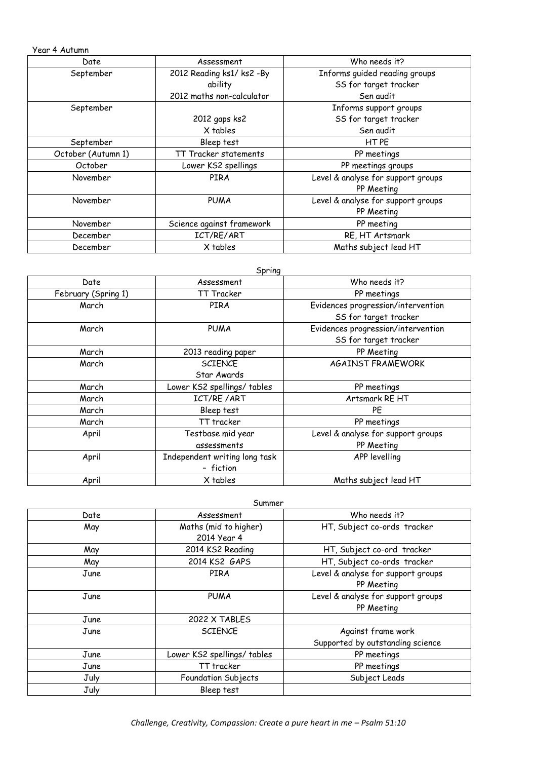Year 4 Autumn

| Date               | Assessment                | Who needs it?                      |
|--------------------|---------------------------|------------------------------------|
| September          | 2012 Reading ks1/ks2 -By  | Informs guided reading groups      |
|                    | ability                   | SS for target tracker              |
|                    | 2012 maths non-calculator | Sen audit                          |
| September          |                           | Informs support groups             |
|                    | 2012 gaps ks2             | SS for target tracker              |
|                    | X tables                  | Sen audit                          |
| September          | Bleep test                | HTPE                               |
| October (Autumn 1) | TT Tracker statements     | PP meetings                        |
| October            | Lower KS2 spellings       | PP meetings groups                 |
| November           | PIRA                      | Level & analyse for support groups |
|                    |                           | PP Meeting                         |
| November           | <b>PUMA</b>               | Level & analyse for support groups |
|                    |                           | PP Meeting                         |
| November           | Science against framework | PP meeting                         |
| December           | ICT/RE/ART                | RE, HT Artsmark                    |
| December           | X tables                  | Maths subject lead HT              |

|                     | Spring                        |                                    |
|---------------------|-------------------------------|------------------------------------|
| Date                | Assessment                    | Who needs it?                      |
| February (Spring 1) | TT Tracker                    | PP meetings                        |
| March               | PIRA                          | Evidences progression/intervention |
|                     |                               | SS for target tracker              |
| March               | <b>PUMA</b>                   | Evidences progression/intervention |
|                     |                               | SS for target tracker              |
| March               | 2013 reading paper            | PP Meeting                         |
| March               | <b>SCIENCE</b>                | <b>AGAINST FRAMEWORK</b>           |
|                     | Star Awards                   |                                    |
| March               | Lower KS2 spellings/ tables   | PP meetings                        |
| March               | ICT/RE / ART                  | Artsmark RE HT                     |
| March               | Bleep test                    | PE                                 |
| March               | TT tracker                    | PP meetings                        |
| April               | Testbase mid year             | Level & analyse for support groups |
|                     | assessments                   | PP Meeting                         |
| April               | Independent writing long task | APP levelling                      |
|                     | - fiction                     |                                    |
| April               | X tables                      | Maths subject lead HT              |

| Summer |                             |                                    |
|--------|-----------------------------|------------------------------------|
| Date   | Assessment                  | Who needs it?                      |
| May    | Maths (mid to higher)       | HT, Subject co-ords tracker        |
|        | 2014 Year 4                 |                                    |
| May    | 2014 KS2 Reading            | HT, Subject co-ord tracker         |
| May    | 2014 KS2 GAPS               | HT, Subject co-ords tracker        |
| June   | PIRA                        | Level & analyse for support groups |
|        |                             | PP Meeting                         |
| June   | <b>PUMA</b>                 | Level & analyse for support groups |
|        |                             | PP Meeting                         |
| June   | 2022 X TABLES               |                                    |
| June   | <b>SCIENCE</b>              | Against frame work                 |
|        |                             | Supported by outstanding science   |
| June   | Lower KS2 spellings/ tables | PP meetings                        |
| June   | TT tracker                  | PP meetings                        |
| July   | <b>Foundation Subjects</b>  | Subject Leads                      |
| July   | Bleep test                  |                                    |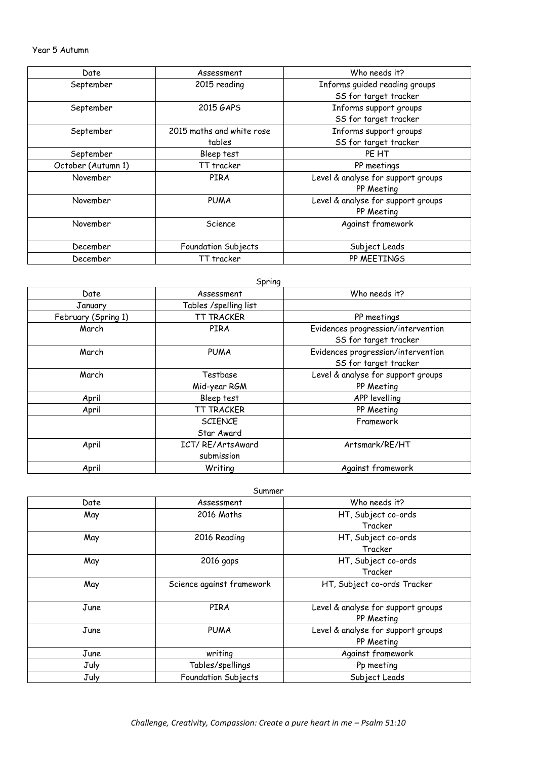### Year 5 Autumn

| Date               | Assessment                | Who needs it?                      |
|--------------------|---------------------------|------------------------------------|
| September          | 2015 reading              | Informs guided reading groups      |
|                    |                           | SS for target tracker              |
| September          | 2015 GAPS                 | Informs support groups             |
|                    |                           | SS for target tracker              |
| September          | 2015 maths and white rose | Informs support groups             |
|                    | tables                    | SS for target tracker              |
| September          | Bleep test                | PE HT                              |
| October (Autumn 1) | TT tracker                | PP meetings                        |
| November           | <b>PIRA</b>               | Level & analyse for support groups |
|                    |                           | PP Meeting                         |
| November           | <b>PUMA</b>               | Level & analyse for support groups |
|                    |                           | PP Meeting                         |
| November           | Science                   | Against framework                  |
|                    |                           |                                    |
| December           | Foundation Subjects       | Subject Leads                      |
| December           | TT tracker                | PP MEETINGS                        |

|                     | Spring                |                                    |
|---------------------|-----------------------|------------------------------------|
| Date                | Assessment            | Who needs it?                      |
| January             | Tables /spelling list |                                    |
| February (Spring 1) | <b>TT TRACKER</b>     | PP meetings                        |
| March               | PIRA                  | Evidences progression/intervention |
|                     |                       | SS for target tracker              |
| March               | <b>PUMA</b>           | Evidences progression/intervention |
|                     |                       | SS for target tracker              |
| March               | Testbase              | Level & analyse for support groups |
|                     | Mid-year RGM          | PP Meeting                         |
| April               | Bleep test            | APP levelling                      |
| April               | <b>TT TRACKER</b>     | PP Meeting                         |
|                     | <b>SCIENCE</b>        | Framework                          |
|                     | Star Award            |                                    |
| April               | ICT/RE/ArtsAward      | Artsmark/RE/HT                     |
|                     | submission            |                                    |
| April               | Writing               | Against framework                  |

| Summer |                           |                                    |  |
|--------|---------------------------|------------------------------------|--|
| Date   | Assessment                | Who needs it?                      |  |
| May    | 2016 Maths                | HT, Subject co-ords                |  |
|        |                           | Tracker                            |  |
| May    | 2016 Reading              | HT, Subject co-ords                |  |
|        |                           | Tracker                            |  |
| May    | 2016 gaps                 | HT, Subject co-ords                |  |
|        |                           | Tracker                            |  |
| May    | Science against framework | HT, Subject co-ords Tracker        |  |
|        |                           |                                    |  |
| June   | PIRA                      | Level & analyse for support groups |  |
|        |                           | PP Meeting                         |  |
| June   | <b>PUMA</b>               | Level & analyse for support groups |  |
|        |                           | PP Meeting                         |  |
| June   | writing                   | Against framework                  |  |
| July   | Tables/spellings          | Pp meeting                         |  |
| July   | Foundation Subjects       | Subject Leads                      |  |